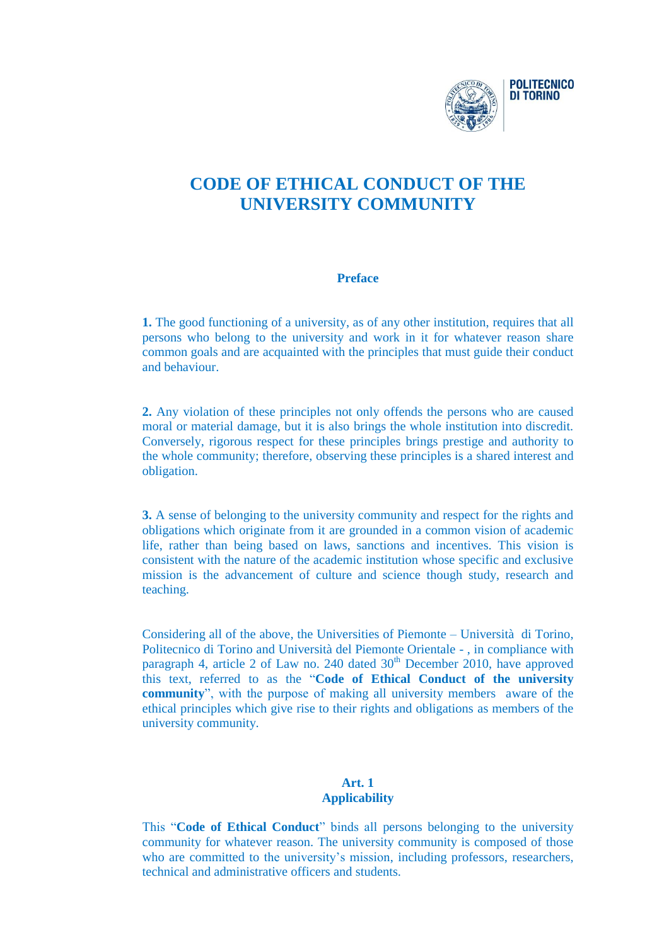

# **CODE OF ETHICAL CONDUCT OF THE UNIVERSITY COMMUNITY**

### **Preface**

**1.** The good functioning of a university, as of any other institution, requires that all persons who belong to the university and work in it for whatever reason share common goals and are acquainted with the principles that must guide their conduct and behaviour.

**2.** Any violation of these principles not only offends the persons who are caused moral or material damage, but it is also brings the whole institution into discredit. Conversely, rigorous respect for these principles brings prestige and authority to the whole community; therefore, observing these principles is a shared interest and obligation.

**3.** A sense of belonging to the university community and respect for the rights and obligations which originate from it are grounded in a common vision of academic life, rather than being based on laws, sanctions and incentives. This vision is consistent with the nature of the academic institution whose specific and exclusive mission is the advancement of culture and science though study, research and teaching.

Considering all of the above, the Universities of Piemonte – Università di Torino, Politecnico di Torino and Università del Piemonte Orientale - , in compliance with paragraph 4, article 2 of Law no. 240 dated  $30<sup>th</sup>$  December 2010, have approved this text, referred to as the "**Code of Ethical Conduct of the university community**", with the purpose of making all university members aware of the ethical principles which give rise to their rights and obligations as members of the university community.

### **Art. 1 Applicability**

This "**Code of Ethical Conduct**" binds all persons belonging to the university community for whatever reason. The university community is composed of those who are committed to the university's mission, including professors, researchers, technical and administrative officers and students.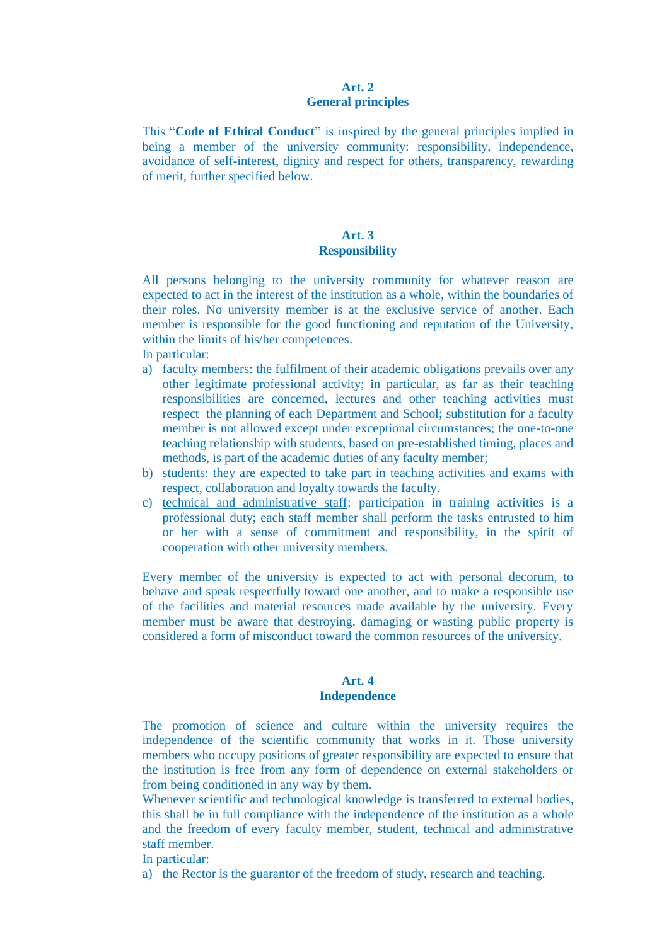#### **Art. 2 General principles**

This "**Code of Ethical Conduct**" is inspired by the general principles implied in being a member of the university community: responsibility, independence, avoidance of self-interest, dignity and respect for others, transparency, rewarding of merit, further specified below.

### **Art. 3 Responsibility**

All persons belonging to the university community for whatever reason are expected to act in the interest of the institution as a whole, within the boundaries of their roles. No university member is at the exclusive service of another. Each member is responsible for the good functioning and reputation of the University, within the limits of his/her competences.

In particular:

- a) faculty members: the fulfilment of their academic obligations prevails over any other legitimate professional activity; in particular, as far as their teaching responsibilities are concerned, lectures and other teaching activities must respect the planning of each Department and School; substitution for a faculty member is not allowed except under exceptional circumstances; the one-to-one teaching relationship with students, based on pre-established timing, places and methods, is part of the academic duties of any faculty member;
- b) students: they are expected to take part in teaching activities and exams with respect, collaboration and loyalty towards the faculty.
- c) technical and administrative staff: participation in training activities is a professional duty; each staff member shall perform the tasks entrusted to him or her with a sense of commitment and responsibility, in the spirit of cooperation with other university members.

Every member of the university is expected to act with personal decorum, to behave and speak respectfully toward one another, and to make a responsible use of the facilities and material resources made available by the university. Every member must be aware that destroying, damaging or wasting public property is considered a form of misconduct toward the common resources of the university.

### **Art. 4 Independence**

The promotion of science and culture within the university requires the independence of the scientific community that works in it. Those university members who occupy positions of greater responsibility are expected to ensure that the institution is free from any form of dependence on external stakeholders or from being conditioned in any way by them.

Whenever scientific and technological knowledge is transferred to external bodies, this shall be in full compliance with the independence of the institution as a whole and the freedom of every faculty member, student, technical and administrative staff member.

In particular:

a) the Rector is the guarantor of the freedom of study, research and teaching.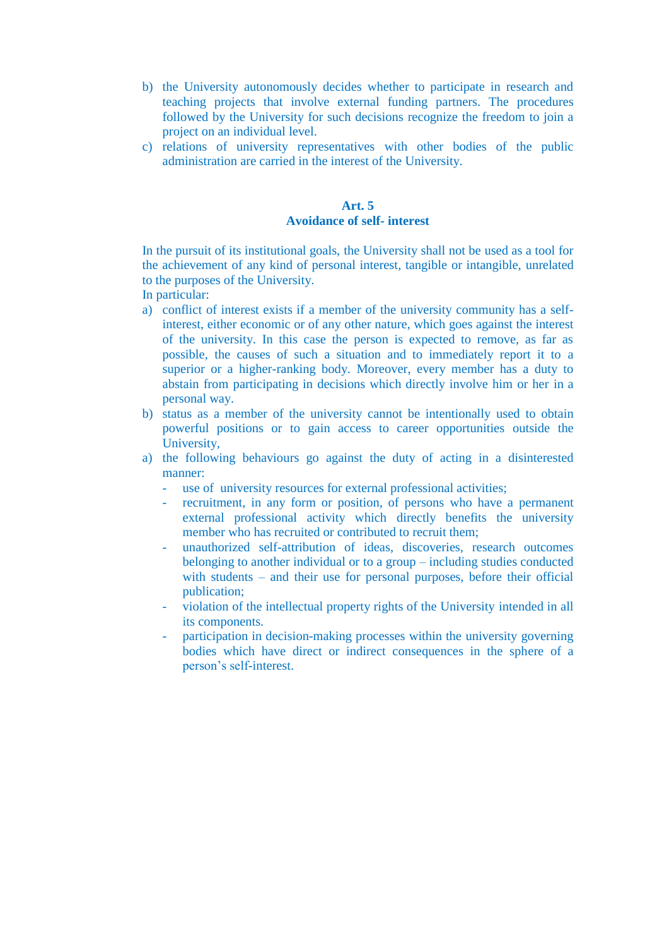- b) the University autonomously decides whether to participate in research and teaching projects that involve external funding partners. The procedures followed by the University for such decisions recognize the freedom to join a project on an individual level.
- c) relations of university representatives with other bodies of the public administration are carried in the interest of the University.

### **Art. 5 Avoidance of self- interest**

In the pursuit of its institutional goals, the University shall not be used as a tool for the achievement of any kind of personal interest, tangible or intangible, unrelated to the purposes of the University.

In particular:

- a) conflict of interest exists if a member of the university community has a selfinterest, either economic or of any other nature, which goes against the interest of the university. In this case the person is expected to remove, as far as possible, the causes of such a situation and to immediately report it to a superior or a higher-ranking body. Moreover, every member has a duty to abstain from participating in decisions which directly involve him or her in a personal way.
- b) status as a member of the university cannot be intentionally used to obtain powerful positions or to gain access to career opportunities outside the University,
- a) the following behaviours go against the duty of acting in a disinterested manner:
	- use of university resources for external professional activities;
	- recruitment, in any form or position, of persons who have a permanent external professional activity which directly benefits the university member who has recruited or contributed to recruit them:
	- unauthorized self-attribution of ideas, discoveries, research outcomes belonging to another individual or to a group – including studies conducted with students – and their use for personal purposes, before their official publication;
	- violation of the intellectual property rights of the University intended in all its components.
	- participation in decision-making processes within the university governing bodies which have direct or indirect consequences in the sphere of a person's self-interest.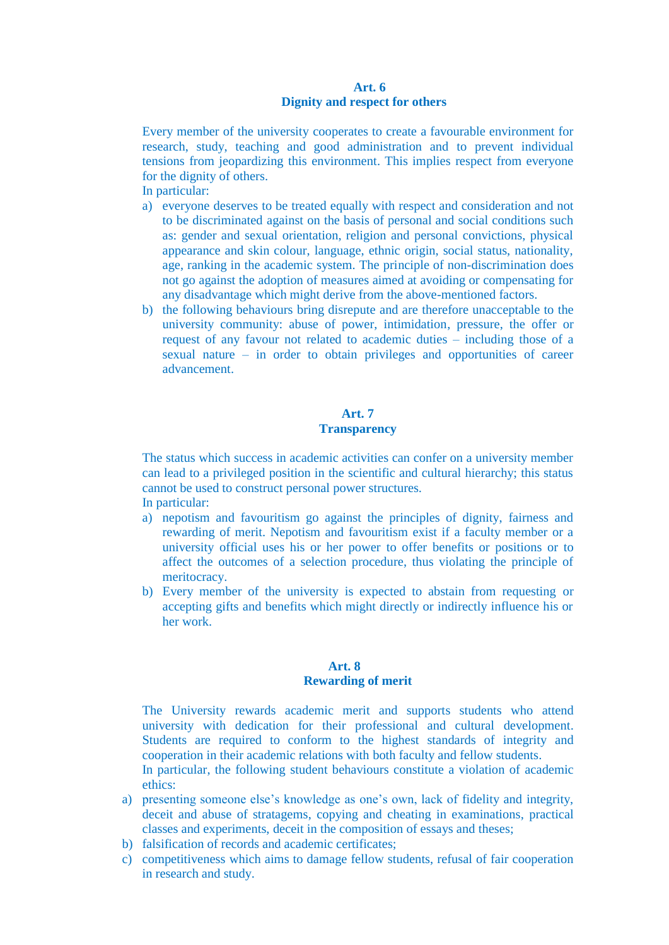#### **Art. 6 Dignity and respect for others**

Every member of the university cooperates to create a favourable environment for research, study, teaching and good administration and to prevent individual tensions from jeopardizing this environment. This implies respect from everyone for the dignity of others.

In particular:

- a) everyone deserves to be treated equally with respect and consideration and not to be discriminated against on the basis of personal and social conditions such as: gender and sexual orientation, religion and personal convictions, physical appearance and skin colour, language, ethnic origin, social status, nationality, age, ranking in the academic system. The principle of non-discrimination does not go against the adoption of measures aimed at avoiding or compensating for any disadvantage which might derive from the above-mentioned factors.
- b) the following behaviours bring disrepute and are therefore unacceptable to the university community: abuse of power, intimidation, pressure, the offer or request of any favour not related to academic duties – including those of a sexual nature – in order to obtain privileges and opportunities of career advancement.

## **Art. 7 Transparency**

The status which success in academic activities can confer on a university member can lead to a privileged position in the scientific and cultural hierarchy; this status cannot be used to construct personal power structures. In particular:

- a) nepotism and favouritism go against the principles of dignity, fairness and rewarding of merit. Nepotism and favouritism exist if a faculty member or a university official uses his or her power to offer benefits or positions or to affect the outcomes of a selection procedure, thus violating the principle of meritocracy.
- b) Every member of the university is expected to abstain from requesting or accepting gifts and benefits which might directly or indirectly influence his or her work.

### **Art. 8 Rewarding of merit**

The University rewards academic merit and supports students who attend university with dedication for their professional and cultural development. Students are required to conform to the highest standards of integrity and cooperation in their academic relations with both faculty and fellow students.

In particular, the following student behaviours constitute a violation of academic ethics:

- a) presenting someone else's knowledge as one's own, lack of fidelity and integrity, deceit and abuse of stratagems, copying and cheating in examinations, practical classes and experiments, deceit in the composition of essays and theses;
- b) falsification of records and academic certificates;
- c) competitiveness which aims to damage fellow students, refusal of fair cooperation in research and study.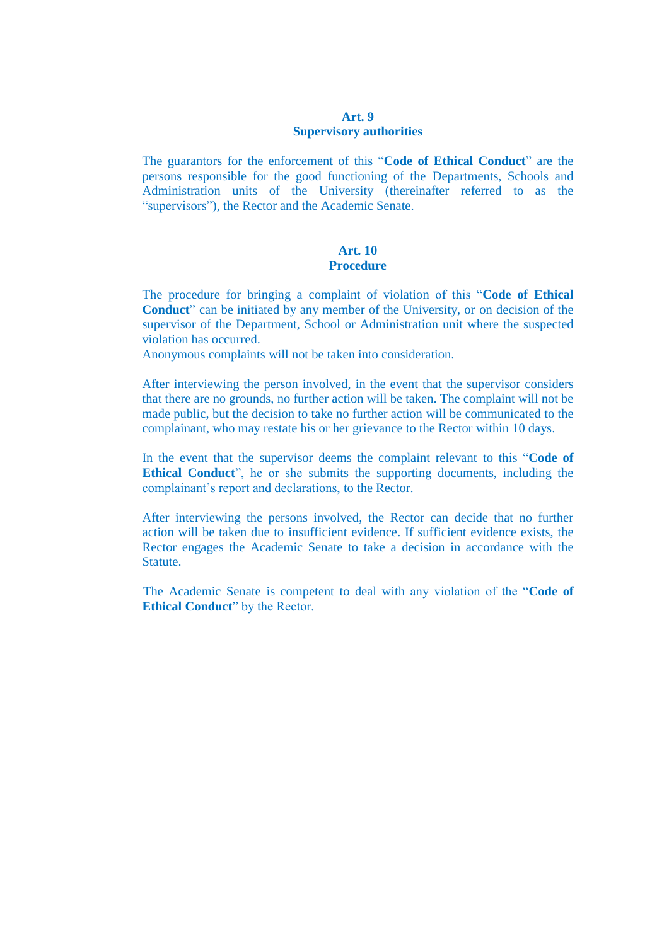### **Art. 9 Supervisory authorities**

The guarantors for the enforcement of this "**Code of Ethical Conduct**" are the persons responsible for the good functioning of the Departments, Schools and Administration units of the University (thereinafter referred to as the "supervisors"), the Rector and the Academic Senate.

### **Art. 10 Procedure**

The procedure for bringing a complaint of violation of this "**Code of Ethical Conduct**" can be initiated by any member of the University, or on decision of the supervisor of the Department, School or Administration unit where the suspected violation has occurred.

Anonymous complaints will not be taken into consideration.

After interviewing the person involved, in the event that the supervisor considers that there are no grounds, no further action will be taken. The complaint will not be made public, but the decision to take no further action will be communicated to the complainant, who may restate his or her grievance to the Rector within 10 days.

In the event that the supervisor deems the complaint relevant to this "**Code of Ethical Conduct**", he or she submits the supporting documents, including the complainant's report and declarations, to the Rector.

After interviewing the persons involved, the Rector can decide that no further action will be taken due to insufficient evidence. If sufficient evidence exists, the Rector engages the Academic Senate to take a decision in accordance with the Statute.

The Academic Senate is competent to deal with any violation of the "**Code of Ethical Conduct**" by the Rector.